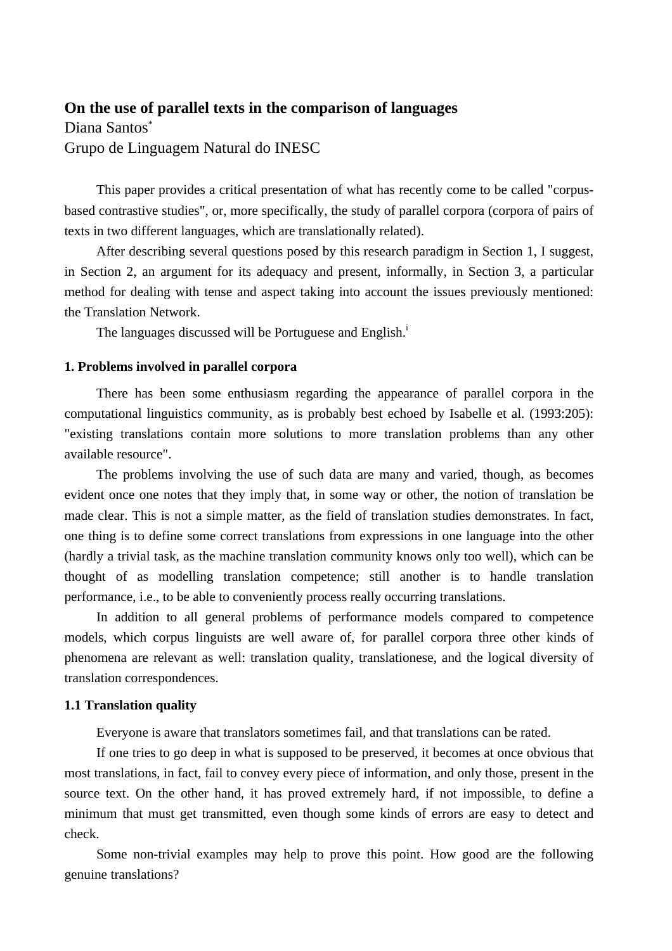# **On the use of parallel texts in the comparison of languages**

Diana Santos\* Grupo de Linguagem Natural do INESC

This paper provides a critical presentation of what has recently come to be called "corpusbased contrastive studies", or, more specifically, the study of parallel corpora (corpora of pairs of texts in two different languages, which are translationally related).

After describing several questions posed by this research paradigm in Section 1, I suggest, in Section 2, an argument for its adequacy and present, informally, in Section 3, a particular method for dealing with tense and aspect taking into account the issues previously mentioned: the Translation Network.

The languages discussed will be Portuguese and English.<sup>1</sup>

## **1. Problems involved in parallel corpora**

There has been some enthusiasm regarding the appearance of parallel corpora in the computational linguistics community, as is probably best echoed by Isabelle et al. (1993:205): "existing translations contain more solutions to more translation problems than any other available resource".

The problems involving the use of such data are many and varied, though, as becomes evident once one notes that they imply that, in some way or other, the notion of translation be made clear. This is not a simple matter, as the field of translation studies demonstrates. In fact, one thing is to define some correct translations from expressions in one language into the other (hardly a trivial task, as the machine translation community knows only too well), which can be thought of as modelling translation competence; still another is to handle translation performance, i.e., to be able to conveniently process really occurring translations.

In addition to all general problems of performance models compared to competence models, which corpus linguists are well aware of, for parallel corpora three other kinds of phenomena are relevant as well: translation quality, translationese, and the logical diversity of translation correspondences.

## **1.1 Translation quality**

Everyone is aware that translators sometimes fail, and that translations can be rated.

If one tries to go deep in what is supposed to be preserved, it becomes at once obvious that most translations, in fact, fail to convey every piece of information, and only those, present in the source text. On the other hand, it has proved extremely hard, if not impossible, to define a minimum that must get transmitted, even though some kinds of errors are easy to detect and check.

Some non-trivial examples may help to prove this point. How good are the following genuine translations?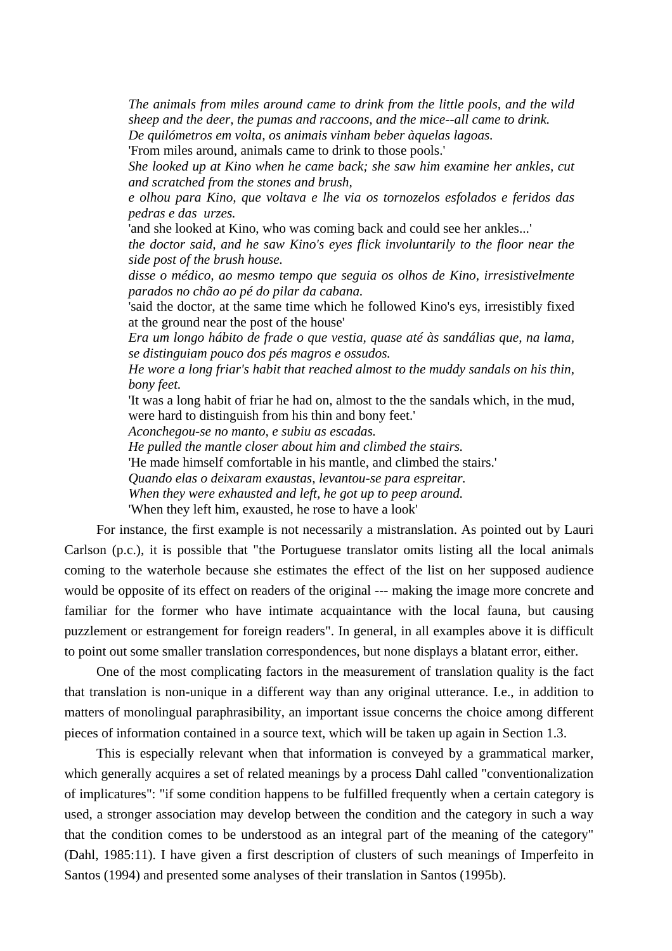*The animals from miles around came to drink from the little pools, and the wild sheep and the deer, the pumas and raccoons, and the mice--all came to drink.* 

*De quilómetros em volta, os animais vinham beber àquelas lagoas.* 

'From miles around, animals came to drink to those pools.'

*She looked up at Kino when he came back; she saw him examine her ankles, cut and scratched from the stones and brush,* 

*e olhou para Kino, que voltava e lhe via os tornozelos esfolados e feridos das pedras e das urzes.* 

'and she looked at Kino, who was coming back and could see her ankles...'

*the doctor said, and he saw Kino's eyes flick involuntarily to the floor near the side post of the brush house.* 

*disse o médico, ao mesmo tempo que seguia os olhos de Kino, irresistivelmente parados no chão ao pé do pilar da cabana.* 

'said the doctor, at the same time which he followed Kino's eys, irresistibly fixed at the ground near the post of the house'

*Era um longo hábito de frade o que vestia, quase até às sandálias que, na lama, se distinguiam pouco dos pés magros e ossudos.* 

*He wore a long friar's habit that reached almost to the muddy sandals on his thin, bony feet.* 

'It was a long habit of friar he had on, almost to the the sandals which, in the mud, were hard to distinguish from his thin and bony feet.'

*Aconchegou-se no manto, e subiu as escadas.* 

*He pulled the mantle closer about him and climbed the stairs.* 

'He made himself comfortable in his mantle, and climbed the stairs.'

*Quando elas o deixaram exaustas, levantou-se para espreitar.* 

*When they were exhausted and left, he got up to peep around.* 

'When they left him, exausted, he rose to have a look'

For instance, the first example is not necessarily a mistranslation. As pointed out by Lauri Carlson (p.c.), it is possible that "the Portuguese translator omits listing all the local animals coming to the waterhole because she estimates the effect of the list on her supposed audience would be opposite of its effect on readers of the original --- making the image more concrete and familiar for the former who have intimate acquaintance with the local fauna, but causing puzzlement or estrangement for foreign readers". In general, in all examples above it is difficult to point out some smaller translation correspondences, but none displays a blatant error, either.

One of the most complicating factors in the measurement of translation quality is the fact that translation is non-unique in a different way than any original utterance. I.e., in addition to matters of monolingual paraphrasibility, an important issue concerns the choice among different pieces of information contained in a source text, which will be taken up again in Section 1.3.

This is especially relevant when that information is conveyed by a grammatical marker, which generally acquires a set of related meanings by a process Dahl called "conventionalization of implicatures": "if some condition happens to be fulfilled frequently when a certain category is used, a stronger association may develop between the condition and the category in such a way that the condition comes to be understood as an integral part of the meaning of the category" (Dahl, 1985:11). I have given a first description of clusters of such meanings of Imperfeito in Santos (1994) and presented some analyses of their translation in Santos (1995b).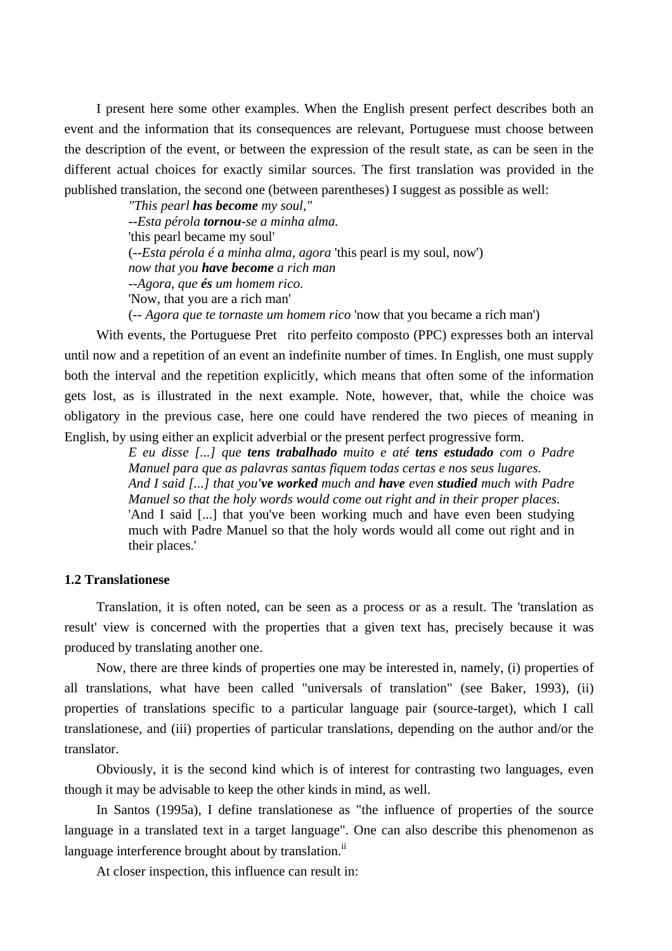I present here some other examples. When the English present perfect describes both an event and the information that its consequences are relevant, Portuguese must choose between the description of the event, or between the expression of the result state, as can be seen in the different actual choices for exactly similar sources. The first translation was provided in the published translation, the second one (between parentheses) I suggest as possible as well:

> *"This pearl has become my soul," --Esta pérola tornou-se a minha alma.*  'this pearl became my soul' (*--Esta pérola é a minha alma, agora* 'this pearl is my soul, now') *now that you have become a rich man --Agora, que és um homem rico.*  'Now, that you are a rich man' (*-- Agora que te tornaste um homem rico* 'now that you became a rich man')

With events, the Portuguese Pretrito perfeito composto (PPC) expresses both an interval until now and a repetition of an event an indefinite number of times. In English, one must supply both the interval and the repetition explicitly, which means that often some of the information gets lost, as is illustrated in the next example. Note, however, that, while the choice was obligatory in the previous case, here one could have rendered the two pieces of meaning in English, by using either an explicit adverbial or the present perfect progressive form.

*E eu disse [...] que tens trabalhado muito e até tens estudado com o Padre Manuel para que as palavras santas fiquem todas certas e nos seus lugares. And I said [...] that you've worked much and have even studied much with Padre Manuel so that the holy words would come out right and in their proper places.*  'And I said [...] that you've been working much and have even been studying much with Padre Manuel so that the holy words would all come out right and in their places.'

## **1.2 Translationese**

Translation, it is often noted, can be seen as a process or as a result. The 'translation as result' view is concerned with the properties that a given text has, precisely because it was produced by translating another one.

Now, there are three kinds of properties one may be interested in, namely, (i) properties of all translations, what have been called "universals of translation" (see Baker, 1993), (ii) properties of translations specific to a particular language pair (source-target), which I call translationese, and (iii) properties of particular translations, depending on the author and/or the translator.

Obviously, it is the second kind which is of interest for contrasting two languages, even though it may be advisable to keep the other kinds in mind, as well.

In Santos (1995a), I define translationese as "the influence of properties of the source language in a translated text in a target language". One can also describe this phenomenon as language interference brought about by translation. $\mathrm{ii}$ 

At closer inspection, this influence can result in: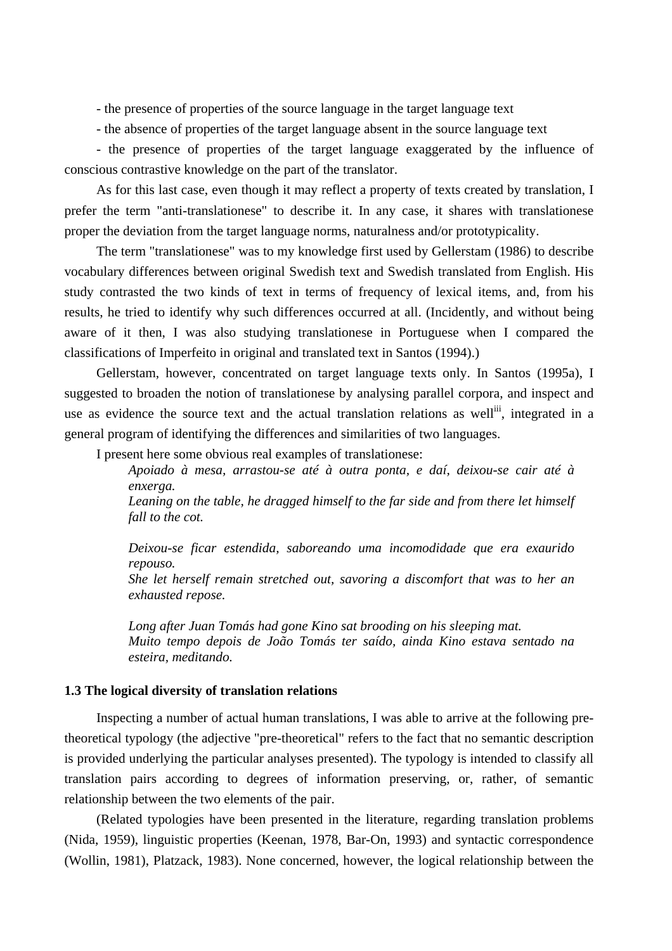- the presence of properties of the source language in the target language text

- the absence of properties of the target language absent in the source language text

- the presence of properties of the target language exaggerated by the influence of conscious contrastive knowledge on the part of the translator.

As for this last case, even though it may reflect a property of texts created by translation, I prefer the term "anti-translationese" to describe it. In any case, it shares with translationese proper the deviation from the target language norms, naturalness and/or prototypicality.

The term "translationese" was to my knowledge first used by Gellerstam (1986) to describe vocabulary differences between original Swedish text and Swedish translated from English. His study contrasted the two kinds of text in terms of frequency of lexical items, and, from his results, he tried to identify why such differences occurred at all. (Incidently, and without being aware of it then, I was also studying translationese in Portuguese when I compared the classifications of Imperfeito in original and translated text in Santos (1994).)

Gellerstam, however, concentrated on target language texts only. In Santos (1995a), I suggested to broaden the notion of translationese by analysing parallel corpora, and inspect and use as evidence the source text and the actual translation relations as well<sup>iii</sup>, integrated in a general program of identifying the differences and similarities of two languages.

I present here some obvious real examples of translationese:

*Apoiado à mesa, arrastou-se até à outra ponta, e daí, deixou-se cair até à enxerga.* 

*Leaning on the table, he dragged himself to the far side and from there let himself fall to the cot.* 

*Deixou-se ficar estendida, saboreando uma incomodidade que era exaurido repouso.* 

*She let herself remain stretched out, savoring a discomfort that was to her an exhausted repose.* 

*Long after Juan Tomás had gone Kino sat brooding on his sleeping mat. Muito tempo depois de João Tomás ter saído, ainda Kino estava sentado na esteira, meditando.*

# **1.3 The logical diversity of translation relations**

Inspecting a number of actual human translations, I was able to arrive at the following pretheoretical typology (the adjective "pre-theoretical" refers to the fact that no semantic description is provided underlying the particular analyses presented). The typology is intended to classify all translation pairs according to degrees of information preserving, or, rather, of semantic relationship between the two elements of the pair.

(Related typologies have been presented in the literature, regarding translation problems (Nida, 1959), linguistic properties (Keenan, 1978, Bar-On, 1993) and syntactic correspondence (Wollin, 1981), Platzack, 1983). None concerned, however, the logical relationship between the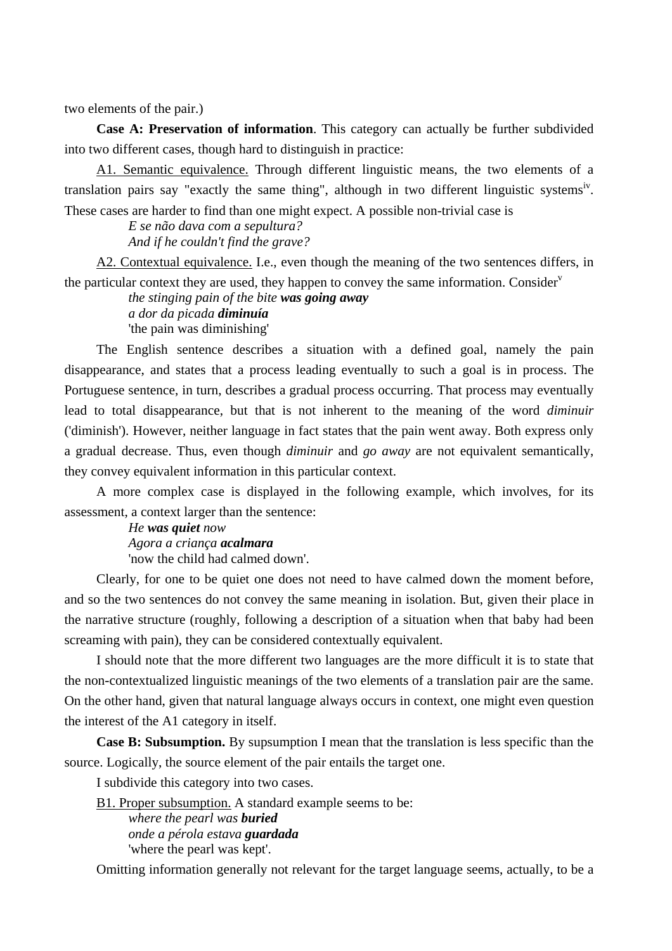two elements of the pair.)

**Case A: Preservation of information**. This category can actually be further subdivided into two different cases, though hard to distinguish in practice:

A1. Semantic equivalence. Through different linguistic means, the two elements of a translation pairs say "exactly the same thing", although in two different linguistic systems<sup>iv</sup>. These cases are harder to find than one might expect. A possible non-trivial case is

> *E se não dava com a sepultura? And if he couldn't find the grave?*

A2. Contextual equivalence. I.e., even though the meaning of the two sentences differs, in the particular context they are used, they happen to convey the same information. Consider<sup> $v$ </sup>

> *the stinging pain of the bite was going away a dor da picada diminuía*  'the pain was diminishing'

The English sentence describes a situation with a defined goal, namely the pain disappearance, and states that a process leading eventually to such a goal is in process. The Portuguese sentence, in turn, describes a gradual process occurring. That process may eventually lead to total disappearance, but that is not inherent to the meaning of the word *diminuir* ('diminish'). However, neither language in fact states that the pain went away. Both express only a gradual decrease. Thus, even though *diminuir* and *go away* are not equivalent semantically, they convey equivalent information in this particular context.

A more complex case is displayed in the following example, which involves, for its assessment, a context larger than the sentence:

> *He was quiet now Agora a criança acalmara* 'now the child had calmed down'.

Clearly, for one to be quiet one does not need to have calmed down the moment before, and so the two sentences do not convey the same meaning in isolation. But, given their place in the narrative structure (roughly, following a description of a situation when that baby had been screaming with pain), they can be considered contextually equivalent.

I should note that the more different two languages are the more difficult it is to state that the non-contextualized linguistic meanings of the two elements of a translation pair are the same. On the other hand, given that natural language always occurs in context, one might even question the interest of the A1 category in itself.

**Case B: Subsumption.** By supsumption I mean that the translation is less specific than the source. Logically, the source element of the pair entails the target one.

I subdivide this category into two cases.

B1. Proper subsumption. A standard example seems to be:

*where the pearl was buried onde a pérola estava guardada* 'where the pearl was kept'.

Omitting information generally not relevant for the target language seems, actually, to be a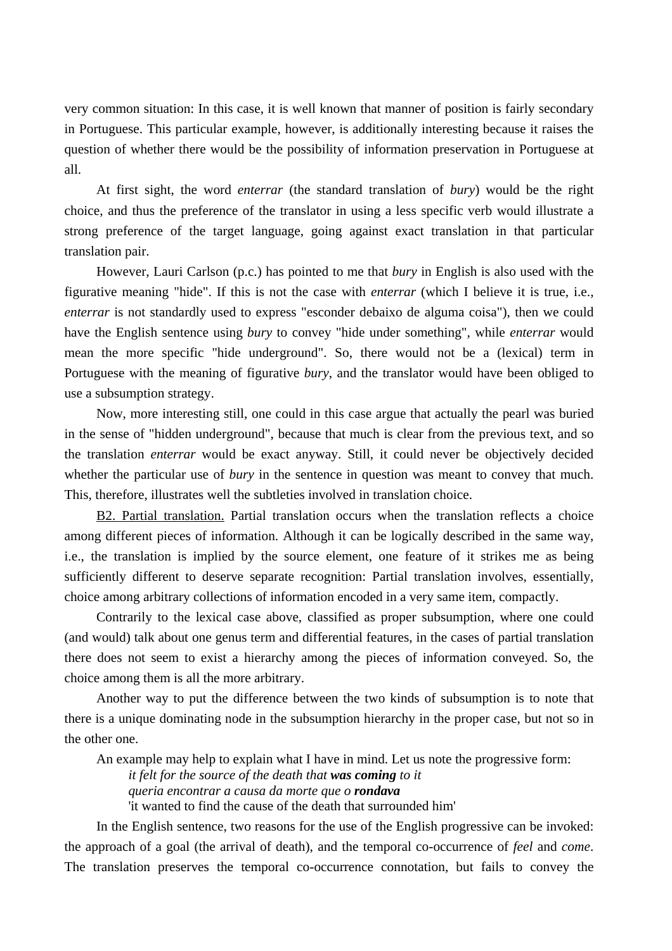very common situation: In this case, it is well known that manner of position is fairly secondary in Portuguese. This particular example, however, is additionally interesting because it raises the question of whether there would be the possibility of information preservation in Portuguese at all.

At first sight, the word *enterrar* (the standard translation of *bury*) would be the right choice, and thus the preference of the translator in using a less specific verb would illustrate a strong preference of the target language, going against exact translation in that particular translation pair.

However, Lauri Carlson (p.c.) has pointed to me that *bury* in English is also used with the figurative meaning "hide". If this is not the case with *enterrar* (which I believe it is true, i.e., *enterrar* is not standardly used to express "esconder debaixo de alguma coisa"), then we could have the English sentence using *bury* to convey "hide under something", while *enterrar* would mean the more specific "hide underground". So, there would not be a (lexical) term in Portuguese with the meaning of figurative *bury*, and the translator would have been obliged to use a subsumption strategy.

Now, more interesting still, one could in this case argue that actually the pearl was buried in the sense of "hidden underground", because that much is clear from the previous text, and so the translation *enterrar* would be exact anyway. Still, it could never be objectively decided whether the particular use of *bury* in the sentence in question was meant to convey that much. This, therefore, illustrates well the subtleties involved in translation choice.

B2. Partial translation. Partial translation occurs when the translation reflects a choice among different pieces of information. Although it can be logically described in the same way, i.e., the translation is implied by the source element, one feature of it strikes me as being sufficiently different to deserve separate recognition: Partial translation involves, essentially, choice among arbitrary collections of information encoded in a very same item, compactly.

Contrarily to the lexical case above, classified as proper subsumption, where one could (and would) talk about one genus term and differential features, in the cases of partial translation there does not seem to exist a hierarchy among the pieces of information conveyed. So, the choice among them is all the more arbitrary.

Another way to put the difference between the two kinds of subsumption is to note that there is a unique dominating node in the subsumption hierarchy in the proper case, but not so in the other one.

An example may help to explain what I have in mind. Let us note the progressive form: *it felt for the source of the death that was coming to it queria encontrar a causa da morte que o rondava* 

'it wanted to find the cause of the death that surrounded him'

In the English sentence, two reasons for the use of the English progressive can be invoked: the approach of a goal (the arrival of death), and the temporal co-occurrence of *feel* and *come*. The translation preserves the temporal co-occurrence connotation, but fails to convey the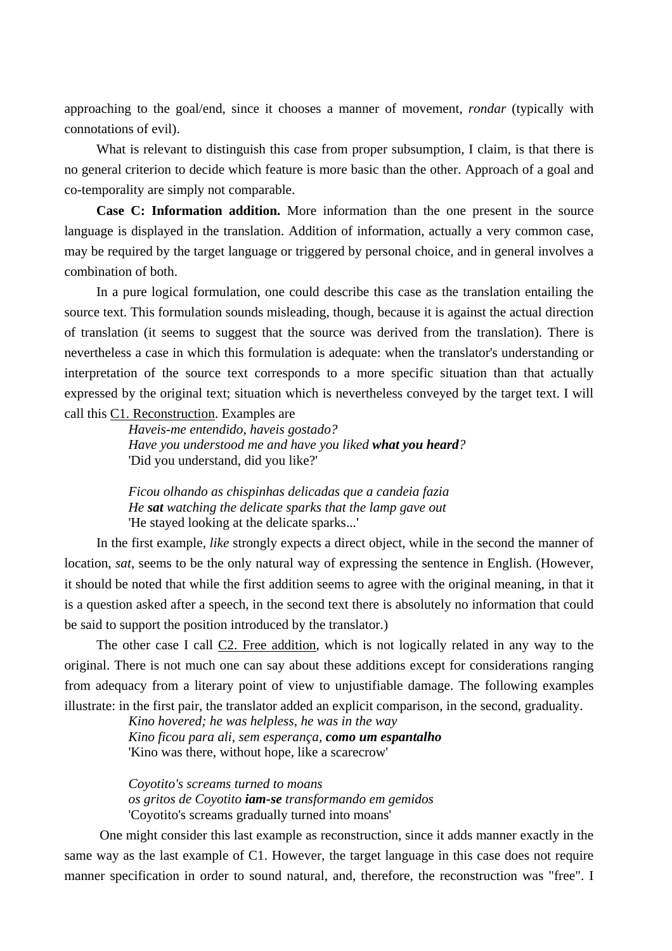approaching to the goal/end, since it chooses a manner of movement, *rondar* (typically with connotations of evil).

What is relevant to distinguish this case from proper subsumption, I claim, is that there is no general criterion to decide which feature is more basic than the other. Approach of a goal and co-temporality are simply not comparable.

**Case C: Information addition.** More information than the one present in the source language is displayed in the translation. Addition of information, actually a very common case, may be required by the target language or triggered by personal choice, and in general involves a combination of both.

In a pure logical formulation, one could describe this case as the translation entailing the source text. This formulation sounds misleading, though, because it is against the actual direction of translation (it seems to suggest that the source was derived from the translation). There is nevertheless a case in which this formulation is adequate: when the translator's understanding or interpretation of the source text corresponds to a more specific situation than that actually expressed by the original text; situation which is nevertheless conveyed by the target text. I will call this C1. Reconstruction. Examples are

*Haveis-me entendido, haveis gostado? Have you understood me and have you liked what you heard?*  'Did you understand, did you like?'

*Ficou olhando as chispinhas delicadas que a candeia fazia He sat watching the delicate sparks that the lamp gave out*  'He stayed looking at the delicate sparks...'

In the first example, *like* strongly expects a direct object, while in the second the manner of location, *sat*, seems to be the only natural way of expressing the sentence in English. (However, it should be noted that while the first addition seems to agree with the original meaning, in that it is a question asked after a speech, in the second text there is absolutely no information that could be said to support the position introduced by the translator.)

The other case I call C2. Free addition, which is not logically related in any way to the original. There is not much one can say about these additions except for considerations ranging from adequacy from a literary point of view to unjustifiable damage. The following examples illustrate: in the first pair, the translator added an explicit comparison, in the second, graduality.

*Kino hovered; he was helpless, he was in the way Kino ficou para ali, sem esperança, como um espantalho* 'Kino was there, without hope, like a scarecrow'

*Coyotito's screams turned to moans os gritos de Coyotito iam-se transformando em gemidos*  'Coyotito's screams gradually turned into moans'

 One might consider this last example as reconstruction, since it adds manner exactly in the same way as the last example of C1. However, the target language in this case does not require manner specification in order to sound natural, and, therefore, the reconstruction was "free". I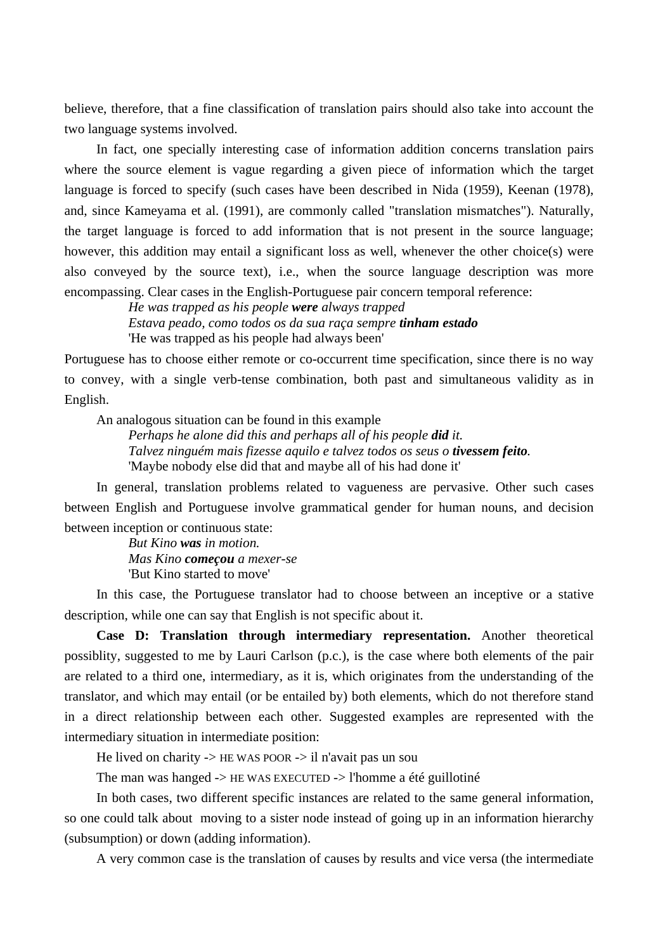believe, therefore, that a fine classification of translation pairs should also take into account the two language systems involved.

In fact, one specially interesting case of information addition concerns translation pairs where the source element is vague regarding a given piece of information which the target language is forced to specify (such cases have been described in Nida (1959), Keenan (1978), and, since Kameyama et al. (1991), are commonly called "translation mismatches"). Naturally, the target language is forced to add information that is not present in the source language; however, this addition may entail a significant loss as well, whenever the other choice(s) were also conveyed by the source text), i.e., when the source language description was more encompassing. Clear cases in the English-Portuguese pair concern temporal reference:

> *He was trapped as his people were always trapped Estava peado, como todos os da sua raça sempre tinham estado*  'He was trapped as his people had always been'

Portuguese has to choose either remote or co-occurrent time specification, since there is no way to convey, with a single verb-tense combination, both past and simultaneous validity as in English.

An analogous situation can be found in this example

*Perhaps he alone did this and perhaps all of his people did it. Talvez ninguém mais fizesse aquilo e talvez todos os seus o <i>tivessem feito*. 'Maybe nobody else did that and maybe all of his had done it'

In general, translation problems related to vagueness are pervasive. Other such cases between English and Portuguese involve grammatical gender for human nouns, and decision between inception or continuous state:

> *But Kino was in motion. Mas Kino começou a mexer-se*  'But Kino started to move'

In this case, the Portuguese translator had to choose between an inceptive or a stative description, while one can say that English is not specific about it.

**Case D: Translation through intermediary representation.** Another theoretical possiblity, suggested to me by Lauri Carlson (p.c.), is the case where both elements of the pair are related to a third one, intermediary, as it is, which originates from the understanding of the translator, and which may entail (or be entailed by) both elements, which do not therefore stand in a direct relationship between each other. Suggested examples are represented with the intermediary situation in intermediate position:

He lived on charity  $\rightarrow$  HE WAS POOR  $\rightarrow$  il n'avait pas un sou

The man was hanged -> HE WAS EXECUTED -> l'homme a été guillotiné

In both cases, two different specific instances are related to the same general information, so one could talk about moving to a sister node instead of going up in an information hierarchy (subsumption) or down (adding information).

A very common case is the translation of causes by results and vice versa (the intermediate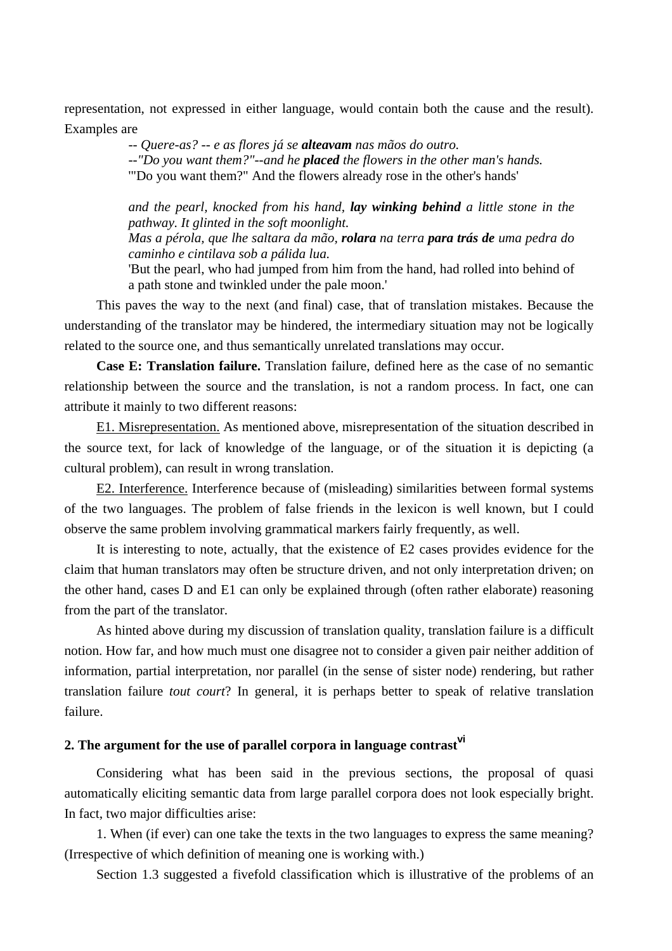representation, not expressed in either language, would contain both the cause and the result). Examples are

> *-- Quere-as? -- e as flores já se alteavam nas mãos do outro. --"Do you want them?"--and he placed the flowers in the other man's hands.*  '"Do you want them?" And the flowers already rose in the other's hands'

*and the pearl, knocked from his hand, lay winking behind a little stone in the pathway. It glinted in the soft moonlight.* 

*Mas a pérola, que lhe saltara da mão, rolara na terra para trás de uma pedra do caminho e cintilava sob a pálida lua.* 

'But the pearl, who had jumped from him from the hand, had rolled into behind of a path stone and twinkled under the pale moon.'

This paves the way to the next (and final) case, that of translation mistakes. Because the understanding of the translator may be hindered, the intermediary situation may not be logically related to the source one, and thus semantically unrelated translations may occur.

**Case E: Translation failure.** Translation failure, defined here as the case of no semantic relationship between the source and the translation, is not a random process. In fact, one can attribute it mainly to two different reasons:

E1. Misrepresentation. As mentioned above, misrepresentation of the situation described in the source text, for lack of knowledge of the language, or of the situation it is depicting (a cultural problem), can result in wrong translation.

E2. Interference. Interference because of (misleading) similarities between formal systems of the two languages. The problem of false friends in the lexicon is well known, but I could observe the same problem involving grammatical markers fairly frequently, as well.

It is interesting to note, actually, that the existence of E2 cases provides evidence for the claim that human translators may often be structure driven, and not only interpretation driven; on the other hand, cases D and E1 can only be explained through (often rather elaborate) reasoning from the part of the translator.

As hinted above during my discussion of translation quality, translation failure is a difficult notion. How far, and how much must one disagree not to consider a given pair neither addition of information, partial interpretation, nor parallel (in the sense of sister node) rendering, but rather translation failure *tout court*? In general, it is perhaps better to speak of relative translation failure.

# **2. The argument for the use of parallel corpora in language contrastvi**

Considering what has been said in the previous sections, the proposal of quasi automatically eliciting semantic data from large parallel corpora does not look especially bright. In fact, two major difficulties arise:

1. When (if ever) can one take the texts in the two languages to express the same meaning? (Irrespective of which definition of meaning one is working with.)

Section 1.3 suggested a fivefold classification which is illustrative of the problems of an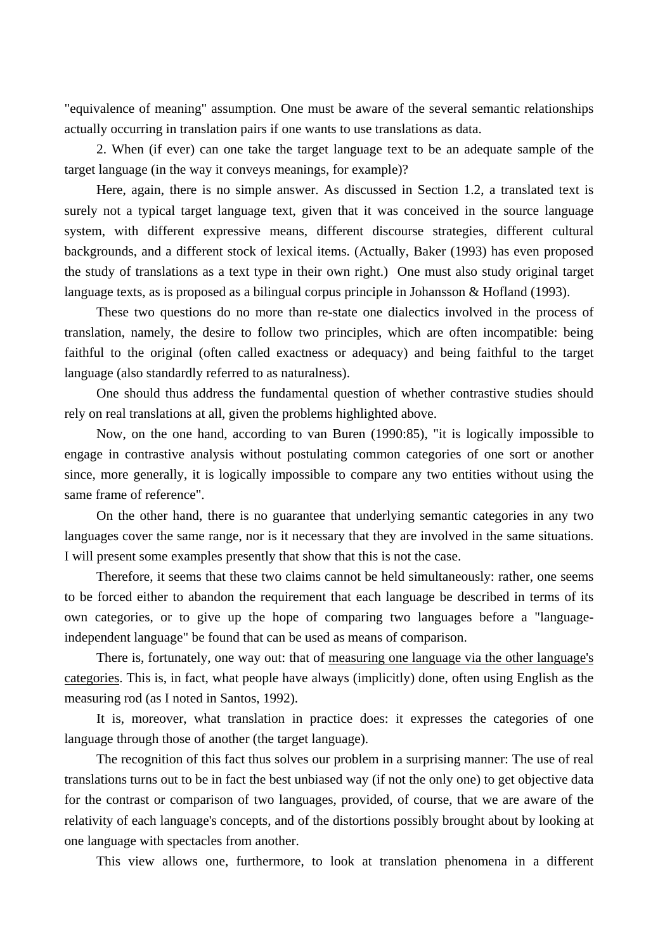"equivalence of meaning" assumption. One must be aware of the several semantic relationships actually occurring in translation pairs if one wants to use translations as data.

2. When (if ever) can one take the target language text to be an adequate sample of the target language (in the way it conveys meanings, for example)?

Here, again, there is no simple answer. As discussed in Section 1.2, a translated text is surely not a typical target language text, given that it was conceived in the source language system, with different expressive means, different discourse strategies, different cultural backgrounds, and a different stock of lexical items. (Actually, Baker (1993) has even proposed the study of translations as a text type in their own right.) One must also study original target language texts, as is proposed as a bilingual corpus principle in Johansson & Hofland (1993).

These two questions do no more than re-state one dialectics involved in the process of translation, namely, the desire to follow two principles, which are often incompatible: being faithful to the original (often called exactness or adequacy) and being faithful to the target language (also standardly referred to as naturalness).

One should thus address the fundamental question of whether contrastive studies should rely on real translations at all, given the problems highlighted above.

Now, on the one hand, according to van Buren (1990:85), "it is logically impossible to engage in contrastive analysis without postulating common categories of one sort or another since, more generally, it is logically impossible to compare any two entities without using the same frame of reference".

On the other hand, there is no guarantee that underlying semantic categories in any two languages cover the same range, nor is it necessary that they are involved in the same situations. I will present some examples presently that show that this is not the case.

Therefore, it seems that these two claims cannot be held simultaneously: rather, one seems to be forced either to abandon the requirement that each language be described in terms of its own categories, or to give up the hope of comparing two languages before a "languageindependent language" be found that can be used as means of comparison.

There is, fortunately, one way out: that of measuring one language via the other language's categories. This is, in fact, what people have always (implicitly) done, often using English as the measuring rod (as I noted in Santos, 1992).

It is, moreover, what translation in practice does: it expresses the categories of one language through those of another (the target language).

The recognition of this fact thus solves our problem in a surprising manner: The use of real translations turns out to be in fact the best unbiased way (if not the only one) to get objective data for the contrast or comparison of two languages, provided, of course, that we are aware of the relativity of each language's concepts, and of the distortions possibly brought about by looking at one language with spectacles from another.

This view allows one, furthermore, to look at translation phenomena in a different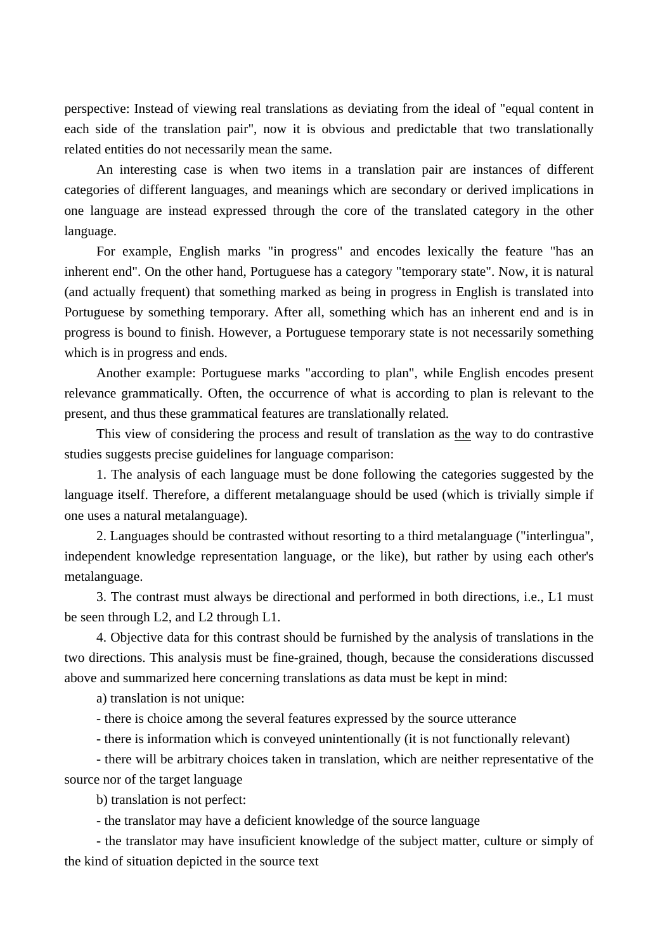perspective: Instead of viewing real translations as deviating from the ideal of "equal content in each side of the translation pair", now it is obvious and predictable that two translationally related entities do not necessarily mean the same.

An interesting case is when two items in a translation pair are instances of different categories of different languages, and meanings which are secondary or derived implications in one language are instead expressed through the core of the translated category in the other language.

For example, English marks "in progress" and encodes lexically the feature "has an inherent end". On the other hand, Portuguese has a category "temporary state". Now, it is natural (and actually frequent) that something marked as being in progress in English is translated into Portuguese by something temporary. After all, something which has an inherent end and is in progress is bound to finish. However, a Portuguese temporary state is not necessarily something which is in progress and ends.

Another example: Portuguese marks "according to plan", while English encodes present relevance grammatically. Often, the occurrence of what is according to plan is relevant to the present, and thus these grammatical features are translationally related.

This view of considering the process and result of translation as the way to do contrastive studies suggests precise guidelines for language comparison:

1. The analysis of each language must be done following the categories suggested by the language itself. Therefore, a different metalanguage should be used (which is trivially simple if one uses a natural metalanguage).

2. Languages should be contrasted without resorting to a third metalanguage ("interlingua", independent knowledge representation language, or the like), but rather by using each other's metalanguage.

3. The contrast must always be directional and performed in both directions, i.e., L1 must be seen through L2, and L2 through L1.

4. Objective data for this contrast should be furnished by the analysis of translations in the two directions. This analysis must be fine-grained, though, because the considerations discussed above and summarized here concerning translations as data must be kept in mind:

a) translation is not unique:

- there is choice among the several features expressed by the source utterance

- there is information which is conveyed unintentionally (it is not functionally relevant)

- there will be arbitrary choices taken in translation, which are neither representative of the source nor of the target language

b) translation is not perfect:

- the translator may have a deficient knowledge of the source language

- the translator may have insuficient knowledge of the subject matter, culture or simply of the kind of situation depicted in the source text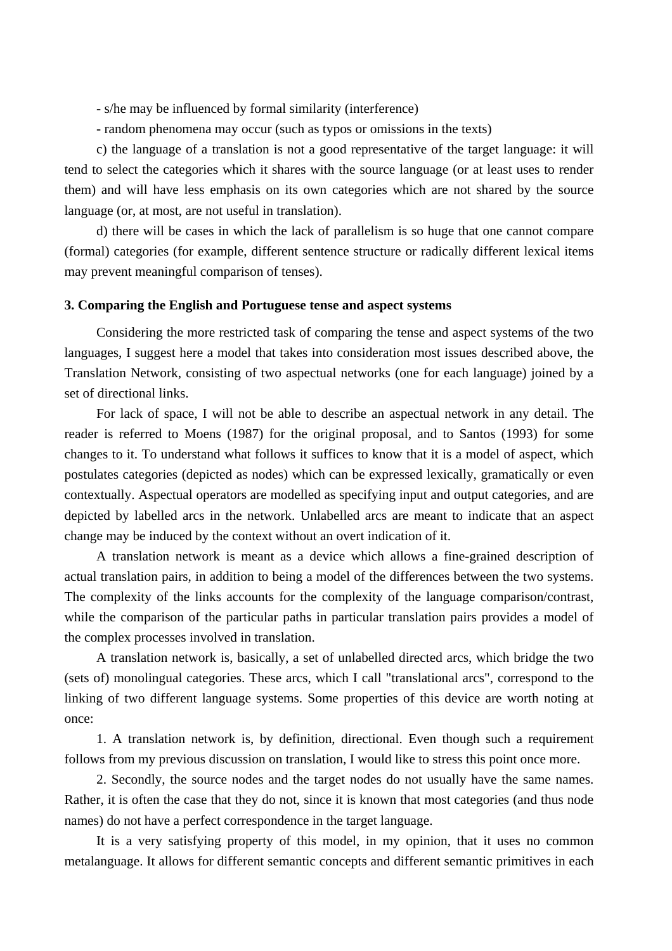- s/he may be influenced by formal similarity (interference)

- random phenomena may occur (such as typos or omissions in the texts)

c) the language of a translation is not a good representative of the target language: it will tend to select the categories which it shares with the source language (or at least uses to render them) and will have less emphasis on its own categories which are not shared by the source language (or, at most, are not useful in translation).

d) there will be cases in which the lack of parallelism is so huge that one cannot compare (formal) categories (for example, different sentence structure or radically different lexical items may prevent meaningful comparison of tenses).

## **3. Comparing the English and Portuguese tense and aspect systems**

Considering the more restricted task of comparing the tense and aspect systems of the two languages, I suggest here a model that takes into consideration most issues described above, the Translation Network, consisting of two aspectual networks (one for each language) joined by a set of directional links.

For lack of space, I will not be able to describe an aspectual network in any detail. The reader is referred to Moens (1987) for the original proposal, and to Santos (1993) for some changes to it. To understand what follows it suffices to know that it is a model of aspect, which postulates categories (depicted as nodes) which can be expressed lexically, gramatically or even contextually. Aspectual operators are modelled as specifying input and output categories, and are depicted by labelled arcs in the network. Unlabelled arcs are meant to indicate that an aspect change may be induced by the context without an overt indication of it.

A translation network is meant as a device which allows a fine-grained description of actual translation pairs, in addition to being a model of the differences between the two systems. The complexity of the links accounts for the complexity of the language comparison/contrast, while the comparison of the particular paths in particular translation pairs provides a model of the complex processes involved in translation.

A translation network is, basically, a set of unlabelled directed arcs, which bridge the two (sets of) monolingual categories. These arcs, which I call "translational arcs", correspond to the linking of two different language systems. Some properties of this device are worth noting at once:

1. A translation network is, by definition, directional. Even though such a requirement follows from my previous discussion on translation, I would like to stress this point once more.

2. Secondly, the source nodes and the target nodes do not usually have the same names. Rather, it is often the case that they do not, since it is known that most categories (and thus node names) do not have a perfect correspondence in the target language.

It is a very satisfying property of this model, in my opinion, that it uses no common metalanguage. It allows for different semantic concepts and different semantic primitives in each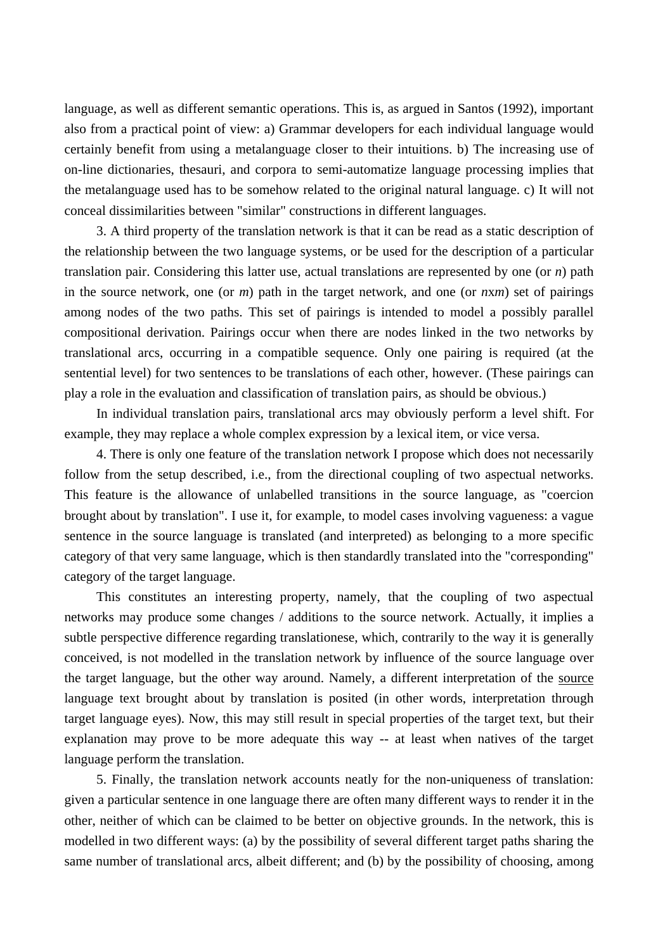language, as well as different semantic operations. This is, as argued in Santos (1992), important also from a practical point of view: a) Grammar developers for each individual language would certainly benefit from using a metalanguage closer to their intuitions. b) The increasing use of on-line dictionaries, thesauri, and corpora to semi-automatize language processing implies that the metalanguage used has to be somehow related to the original natural language. c) It will not conceal dissimilarities between "similar" constructions in different languages.

3. A third property of the translation network is that it can be read as a static description of the relationship between the two language systems, or be used for the description of a particular translation pair. Considering this latter use, actual translations are represented by one (or *n*) path in the source network, one (or *m*) path in the target network, and one (or *n*x*m*) set of pairings among nodes of the two paths. This set of pairings is intended to model a possibly parallel compositional derivation. Pairings occur when there are nodes linked in the two networks by translational arcs, occurring in a compatible sequence. Only one pairing is required (at the sentential level) for two sentences to be translations of each other, however. (These pairings can play a role in the evaluation and classification of translation pairs, as should be obvious.)

In individual translation pairs, translational arcs may obviously perform a level shift. For example, they may replace a whole complex expression by a lexical item, or vice versa.

4. There is only one feature of the translation network I propose which does not necessarily follow from the setup described, i.e., from the directional coupling of two aspectual networks. This feature is the allowance of unlabelled transitions in the source language, as "coercion brought about by translation". I use it, for example, to model cases involving vagueness: a vague sentence in the source language is translated (and interpreted) as belonging to a more specific category of that very same language, which is then standardly translated into the "corresponding" category of the target language.

This constitutes an interesting property, namely, that the coupling of two aspectual networks may produce some changes / additions to the source network. Actually, it implies a subtle perspective difference regarding translationese, which, contrarily to the way it is generally conceived, is not modelled in the translation network by influence of the source language over the target language, but the other way around. Namely, a different interpretation of the source language text brought about by translation is posited (in other words, interpretation through target language eyes). Now, this may still result in special properties of the target text, but their explanation may prove to be more adequate this way -- at least when natives of the target language perform the translation.

5. Finally, the translation network accounts neatly for the non-uniqueness of translation: given a particular sentence in one language there are often many different ways to render it in the other, neither of which can be claimed to be better on objective grounds. In the network, this is modelled in two different ways: (a) by the possibility of several different target paths sharing the same number of translational arcs, albeit different; and (b) by the possibility of choosing, among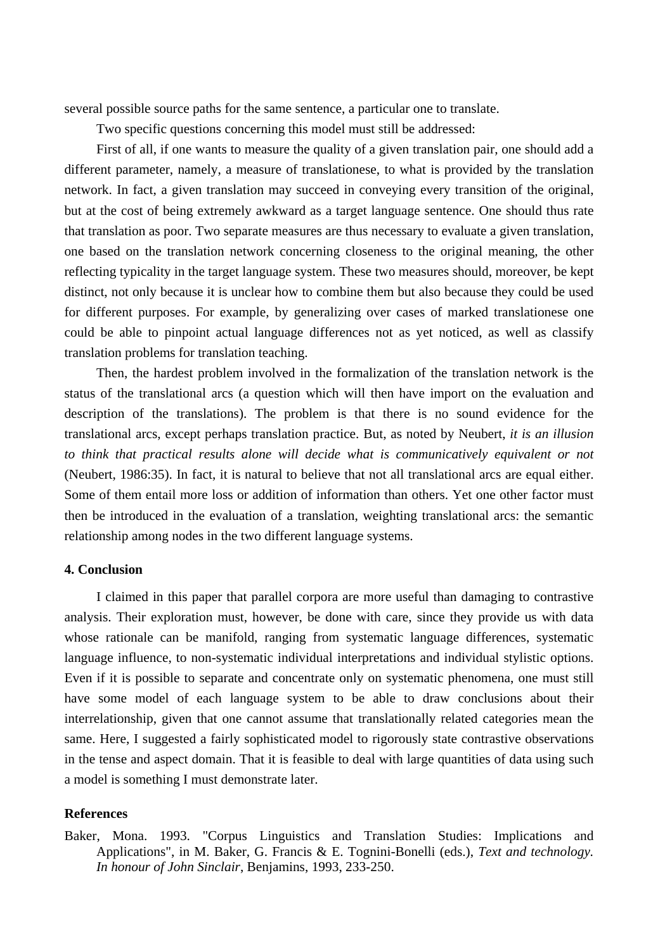several possible source paths for the same sentence, a particular one to translate.

Two specific questions concerning this model must still be addressed:

First of all, if one wants to measure the quality of a given translation pair, one should add a different parameter, namely, a measure of translationese, to what is provided by the translation network. In fact, a given translation may succeed in conveying every transition of the original, but at the cost of being extremely awkward as a target language sentence. One should thus rate that translation as poor. Two separate measures are thus necessary to evaluate a given translation, one based on the translation network concerning closeness to the original meaning, the other reflecting typicality in the target language system. These two measures should, moreover, be kept distinct, not only because it is unclear how to combine them but also because they could be used for different purposes. For example, by generalizing over cases of marked translationese one could be able to pinpoint actual language differences not as yet noticed, as well as classify translation problems for translation teaching.

Then, the hardest problem involved in the formalization of the translation network is the status of the translational arcs (a question which will then have import on the evaluation and description of the translations). The problem is that there is no sound evidence for the translational arcs, except perhaps translation practice. But, as noted by Neubert, *it is an illusion to think that practical results alone will decide what is communicatively equivalent or not*  (Neubert, 1986:35). In fact, it is natural to believe that not all translational arcs are equal either. Some of them entail more loss or addition of information than others. Yet one other factor must then be introduced in the evaluation of a translation, weighting translational arcs: the semantic relationship among nodes in the two different language systems.

## **4. Conclusion**

I claimed in this paper that parallel corpora are more useful than damaging to contrastive analysis. Their exploration must, however, be done with care, since they provide us with data whose rationale can be manifold, ranging from systematic language differences, systematic language influence, to non-systematic individual interpretations and individual stylistic options. Even if it is possible to separate and concentrate only on systematic phenomena, one must still have some model of each language system to be able to draw conclusions about their interrelationship, given that one cannot assume that translationally related categories mean the same. Here, I suggested a fairly sophisticated model to rigorously state contrastive observations in the tense and aspect domain. That it is feasible to deal with large quantities of data using such a model is something I must demonstrate later.

## **References**

Baker, Mona. 1993. "Corpus Linguistics and Translation Studies: Implications and Applications", in M. Baker, G. Francis & E. Tognini-Bonelli (eds.), *Text and technology. In honour of John Sinclair*, Benjamins, 1993, 233-250.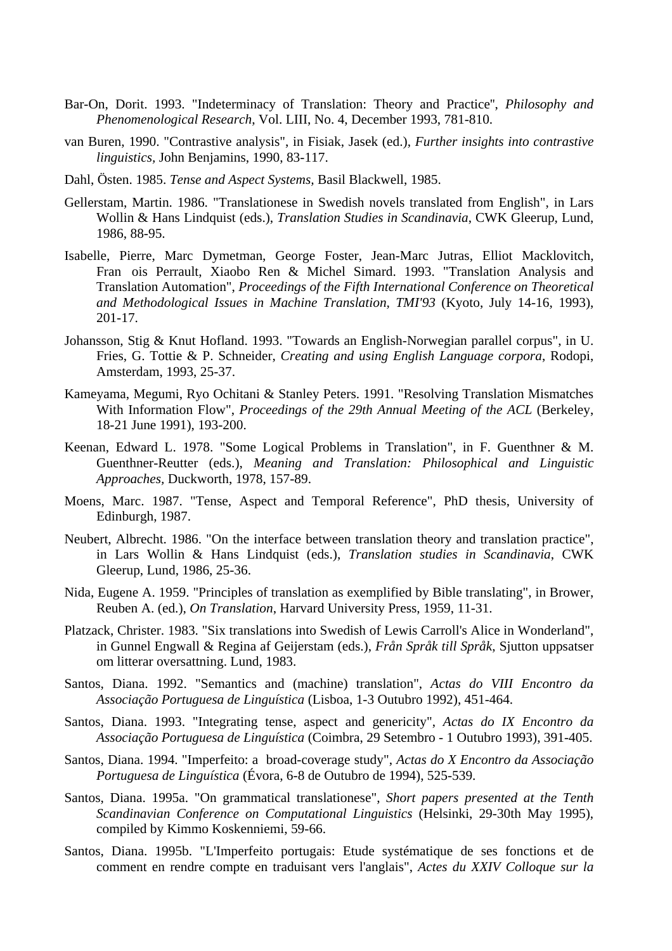- Bar-On, Dorit. 1993. "Indeterminacy of Translation: Theory and Practice'', *Philosophy and Phenomenological Research*, Vol. LIII, No. 4, December 1993, 781-810.
- van Buren, 1990. "Contrastive analysis", in Fisiak, Jasek (ed.), *Further insights into contrastive linguistics,* John Benjamins, 1990, 83-117.
- Dahl, Östen. 1985. *Tense and Aspect Systems,* Basil Blackwell, 1985.
- Gellerstam, Martin. 1986. "Translationese in Swedish novels translated from English", in Lars Wollin & Hans Lindquist (eds.), *Translation Studies in Scandinavia*, CWK Gleerup, Lund, 1986, 88-95.
- Isabelle, Pierre, Marc Dymetman, George Foster, Jean-Marc Jutras, Elliot Macklovitch, Fran ois Perrault, Xiaobo Ren & Michel Simard. 1993. "Translation Analysis and Translation Automation", *Proceedings of the Fifth International Conference on Theoretical and Methodological Issues in Machine Translation, TMI'93* (Kyoto, July 14-16, 1993), 201-17.
- Johansson, Stig & Knut Hofland. 1993. "Towards an English-Norwegian parallel corpus", in U. Fries, G. Tottie & P. Schneider, *Creating and using English Language corpora*, Rodopi, Amsterdam, 1993, 25-37.
- Kameyama, Megumi, Ryo Ochitani & Stanley Peters. 1991. "Resolving Translation Mismatches With Information Flow", *Proceedings of the 29th Annual Meeting of the ACL* (Berkeley, 18-21 June 1991), 193-200.
- Keenan, Edward L. 1978. "Some Logical Problems in Translation", in F. Guenthner & M. Guenthner-Reutter (eds.), *Meaning and Translation: Philosophical and Linguistic Approaches,* Duckworth, 1978, 157-89.
- Moens, Marc. 1987. "Tense, Aspect and Temporal Reference", PhD thesis, University of Edinburgh, 1987.
- Neubert, Albrecht. 1986. "On the interface between translation theory and translation practice", in Lars Wollin & Hans Lindquist (eds.), *Translation studies in Scandinavia*, CWK Gleerup, Lund, 1986, 25-36.
- Nida, Eugene A. 1959. "Principles of translation as exemplified by Bible translating", in Brower, Reuben A. (ed.), *On Translation*, Harvard University Press, 1959, 11-31.
- Platzack, Christer. 1983. "Six translations into Swedish of Lewis Carroll's Alice in Wonderland", in Gunnel Engwall & Regina af Geijerstam (eds.), *Från Språk till Språk*, Sjutton uppsatser om litterar oversattning. Lund, 1983.
- Santos, Diana. 1992. "Semantics and (machine) translation", *Actas do VIII Encontro da Associação Portuguesa de Linguística* (Lisboa, 1-3 Outubro 1992), 451-464.
- Santos, Diana. 1993. "Integrating tense, aspect and genericity", *Actas do IX Encontro da Associação Portuguesa de Linguística* (Coimbra, 29 Setembro - 1 Outubro 1993), 391-405.
- Santos, Diana. 1994. "Imperfeito: a broad-coverage study", *Actas do X Encontro da Associação Portuguesa de Linguística* (Évora, 6-8 de Outubro de 1994), 525-539.
- Santos, Diana. 1995a. "On grammatical translationese", *Short papers presented at the Tenth Scandinavian Conference on Computational Linguistics* (Helsinki, 29-30th May 1995), compiled by Kimmo Koskenniemi, 59-66.
- Santos, Diana. 1995b. "L'Imperfeito portugais: Etude systématique de ses fonctions et de comment en rendre compte en traduisant vers l'anglais", *Actes du XXIV Colloque sur la*